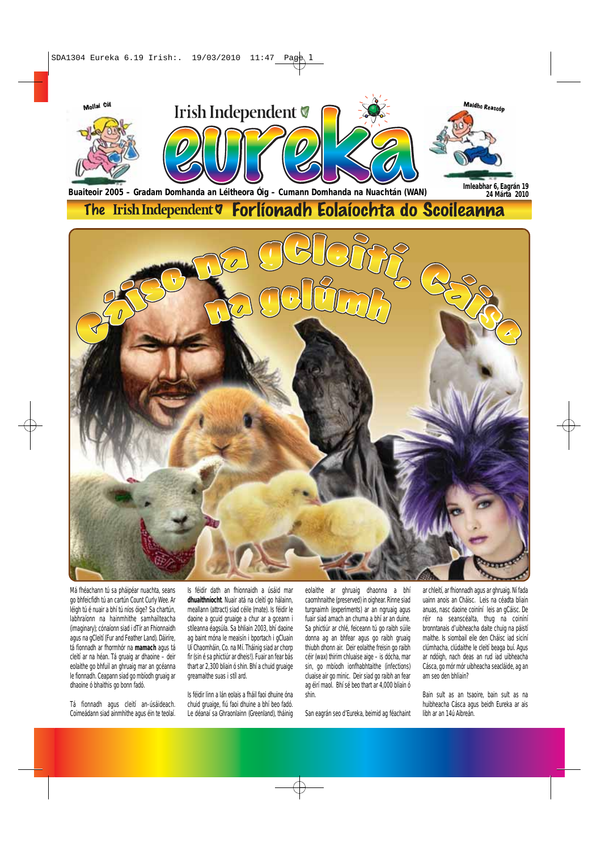

Má fhéachann tú sa pháipéar nuachta, seans go bhfeicfidh tú an cartún Count Curly Wee. Ar léigh tú é nuair a bhí tú níos óige? Sa chartún, labhraíonn na hainmhithe samhailteacha (imaginary); cónaíonn siad i dTír an Fhionnaidh agus na gCleití (Fur and Feather Land). Dáiríre, tá fionnadh ar fhormhór na **mamach** agus tá cleití ar na héan. Tá gruaig ar dhaoine – deir eolaithe go bhfuil an ghruaig mar an gcéanna le fionnadh. Ceapann siad go mbíodh gruaig ar dhaoine ó bhaithis go bonn fadó.

Tá fionnadh agus cleití an-úsáideach. Coimeádann siad ainmhithe agus éin te teolaí.

Is féidir dath an fhionnaidh a úsáid mar **dhuaithníocht**. Nuair atá na cleití go hálainn, meallann (attract) siad céile (mate). Is féidir le daoine a gcuid gruaige a chur ar a gceann i stíleanna éagsúla. Sa bhliain 2003, bhí daoine ag baint móna le meaisín i bportach i gCluain Uí Chaomháin, Co. na Mí. Tháinig siad ar chorp fir (sin é sa phictiúr ar dheis!). Fuair an fear bás thart ar 2,300 bliain ó shin. Bhí a chuid gruaige greamaithe suas i stíl ard.

Is féidir linn a lán eolais a fháil faoi dhuine óna chuid gruaige, fiú faoi dhuine a bhí beo fadó. Le déanaí sa Ghraonlainn (Greenland), tháinig

eolaithe ar ghruaig dhaonna a bhí caomhnaithe (preserved) in oighear. Rinne siad turgnaimh (experiments) ar an ngruaig agus fuair siad amach an chuma a bhí ar an duine. Sa phictiúr ar chlé, feiceann tú go raibh súile donna ag an bhfear agus go raibh gruaig thiubh dhonn air. Deir eolaithe freisin go raibh céir (wax) thirim chluaise aige – is dócha, mar sin, go mbíodh ionfhabhtaithe (infections) cluaise air go minic. Deir siad go raibh an fear ag éirí maol. Bhí sé beo thart ar 4,000 bliain ó shin.

San eagrán seo d'Eureka, beimid ag féachaint

ar chleití, ar fhionnadh agus ar ghruaig. Ní fada uainn anois an Cháisc. Leis na céadta bliain anuas, nasc daoine coiníní leis an gCáisc. De réir na seanscéalta, thug na coiníní bronntanais d'uibheacha daite chuig na páistí maithe. Is siombail eile den Cháisc iad sicíní clúmhacha, clúdaithe le cleití beaga buí. Agus ar ndóigh, nach deas an rud iad uibheacha Cásca, go mór mór uibheacha seacláide, ag an am seo den bhliain?

Bain sult as an tsaoire, bain sult as na huibheacha Cásca agus beidh Eureka ar ais libh ar an 14ú Aibreán.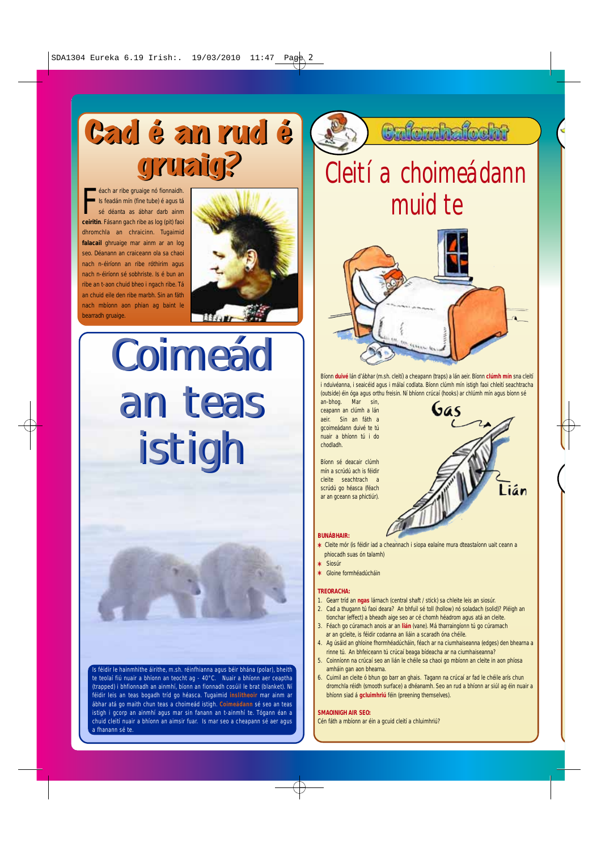## Cad é an rud é Cad é an rud é gruaig? gruaig?

**Example as American** is feadán mín (fine tube) é agus tá<br>sé déanta as ábhar darb ainm<br>ceiritin. Fásann gach ribe as log (pit) faoi éach ar ribe gruaige nó fionnaidh. Is feadán mín (fine tube) é agus tá sé déanta as ábhar darb ainm dhromchla an chraicinn. Tugaimid **falacail** ghruaige mar ainm ar an log seo. Déanann an craiceann ola sa chaoi nach n-éiríonn an ribe róthirim agus nach n-éiríonn sé sobhriste. Is é bun an ribe an t-aon chuid bheo i ngach ribe. Tá an chuid eile den ribe marbh. Sin an fáth nach mbíonn aon phian ag baint le bearradh gruaige.



**Coimeád** an teas an teas istigh istigh

<u>.</u><br>Is féidir le hainmhithe áirithe, m.sh. réinfhianna agus béir bhána (polar), bheith te teolaí fiú nuair a bhíonn an teocht ag - 40°C. Nuair a bhíonn aer ceaptha (trapped) i bhfionnadh an ainmhí, bíonn an fionnadh cosúil le brat (blanket). Ní féidir leis an teas bogadh tríd go héasca. Tugaimid **inslitheoir** mar ainm ar ábhar atá go maith chun teas a choimeád istigh. **Coimeádann** sé seo an teas istigh i gcorp an ainmhí agus mar sin fanann an t-ainmhí te. Tógann éan a chuid cleití nuair a bhíonn an aimsir fuar. Is mar seo a cheapann sé aer agus a fhanann sé te.

### **Culombalosht**

### Cleití a choimeádann muid te



Bíonn **duivé** lán d'ábhar (m.sh. cleití) a cheapann (traps) a lán aeir. Bíonn **clúmh mín** sna cleití i nduivéanna, i seaicéid agus i málaí codlata. Bíonn clúmh mín istigh faoi chleití seachtracha (outside) éin óga agus orthu freisin. Ní bhíonn crúcaí (hooks) ar chlúmh mín agus bíonn sé an-bhog. Mar sin,

Gas

ceapann an clúmh a lán aeir. Sin an fáth a gcoimeádann duivé te tú nuair a bhíonn tú i do chodladh.

Bíonn sé deacair clúmh mín a scrúdú ach is féidir cleite seachtrach a scrúdú go héasca (féach ar an gceann sa phictiúr).

- **BUNÁBHAIR:**
- **\*** Cleite mór (is féidir iad a cheannach i siopa ealaíne mura dteastaíonn uait ceann a phiocadh suas ón talamh)
- **\*** Siosúr
- **\*** Gloine formhéadúcháin

#### **TREORACHA:**

- 1. Gearr tríd an **ngas** lárnach (central shaft / stick) sa chleite leis an siosúr.
- 2. Cad a thugann tú faoi deara? An bhfuil sé toll (hollow) nó soladach (solid)? Pléigh an tionchar (effect) a bheadh aige seo ar cé chomh héadrom agus atá an cleite.
- 3. Féach go cúramach anois ar an **lián** (vane). Má tharraingíonn tú go cúramach ar an gcleite, is féidir codanna an liáin a scaradh óna chéile.
- 4. Ag úsáid an ghloine fhormhéadúcháin, féach ar na ciumhaiseanna (edges) den bhearna a rinne tú. An bhfeiceann tú crúcaí beaga bídeacha ar na ciumhaiseanna?
- 5. Coinníonn na crúcaí seo an lián le chéile sa chaoi go mbíonn an cleite in aon phíosa amháin gan aon bhearna.
- 6. Cuimil an cleite ó bhun go barr an ghais. Tagann na crúcaí ar fad le chéile arís chun dromchla réidh (smooth surface) a dhéanamh. Seo an rud a bhíonn ar siúl ag éin nuair a bhíonn siad á **gcluimhriú** féin (preening themselves).

#### **SMAOINIGH AIR SEO:**

Œ

Cén fáth a mbíonn ar éin a gcuid cleití a chluimhriú?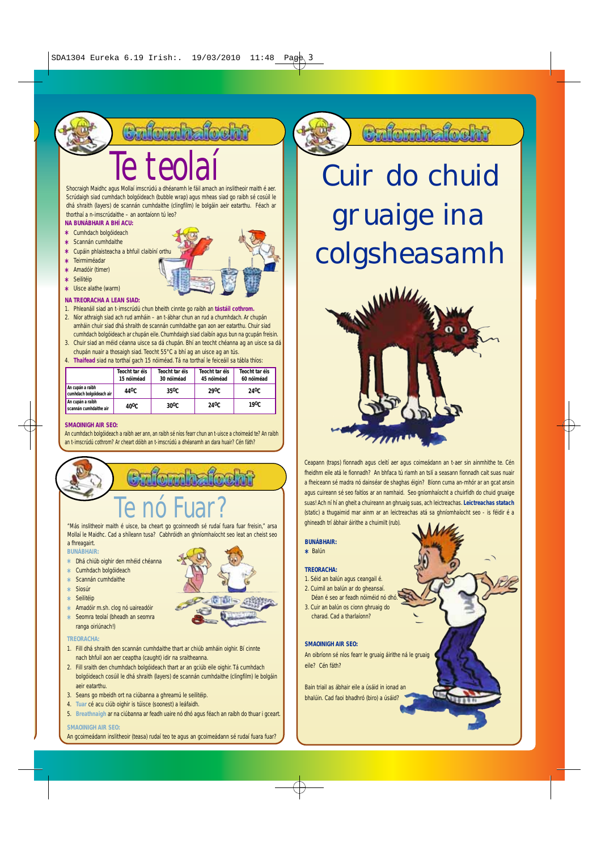**Enformbatochn** 

# Shocraigh Maidhc agus Mollaí imscrúdú a dhéanamh le fáil amach an inslitheoir maith é aer.

Scrúdaigh siad cumhdach bolgóideach (bubble wrap) agus mheas siad go raibh sé cosúil le dhá shraith (layers) de scannán cumhdaithe (clingfilm) le bolgáin aeir eatarthu. Féach ar thorthaí a n-imscrúdaithe – an aontaíonn tú leo?

#### **NA BUNÁBHAIR A BHÍ ACU: \*** Cumhdach bolgóideach

- **\*** Scannán cumhdaithe
- **\*** Cupáin phlaisteacha a bhfuil claibíní orthu
- **\*** Teirmiméadar
- **\*** Amadóir (timer)
- **\*** Seilitéip
- **\*** Uisce alathe (warm)
- **NA TREORACHA A LEAN SIAD:**
- 1. Phleanáil siad an t-imscrúdú chun bheith cinnte go raibh an **tástáil cothrom.**
- 2. Níor athraigh siad ach rud amháin an t-ábhar chun an rud a chumhdach. Ar chupán amháin chuir siad dhá shraith de scannán cumhdaithe gan aon aer eatarthu. Chuir siad cumhdach bolgóideach ar chupán eile. Chumhdaigh siad claibín agus bun na gcupán freisin.
- 3. Chuir siad an méid céanna uisce sa dá chupán. Bhí an teocht chéanna ag an uisce sa dá chupán nuair a thosaigh siad. Teocht 55°C a bhí ag an uisce ag an tús.
- 4. **Thaifead** siad na torthaí gach 15 nóiméad. Tá na torthaí le feiceáil sa tábla thíos:

|                                              | Teocht tar éis<br>15 nóiméad | Teocht tar éis<br>30 nóiméad | Teocht tar éis<br>45 nóiméad | Teocht tar éis<br>60 nóiméad |
|----------------------------------------------|------------------------------|------------------------------|------------------------------|------------------------------|
| An cupán a raibh<br>cumhdach bolgóideach air | 44 <sup>0</sup> C.           | 35 <sup>0</sup> C            | 29 <sup>0</sup> C            | 24 <sup>0</sup> C            |
| An cupán a raibh<br>scannán cumhdaithe air   | 40 <sup>0</sup> C            | $30^{\circ}$ C               | 24 <sup>0</sup> C            | 19 <sup>0</sup> C            |

#### **SMAOINIGH AIR SEO:**

An cumhdach bolgóideach a raibh aer ann, an raibh sé níos fearr chun an t-uisce a choimeád te? An raibh an t-imscrúdú cothrom? Ar cheart dóibh an t-imscrúdú a dhéanamh an dara huair? Cén fáth?

# Te nó Fuar? "Más inslitheoir maith é uisce, ba cheart go gcoinneodh sé rudaí fuara fuar freisin," arsa

Mollaí le Maidhc. Cad a shíleann tusa? Cabhróidh an ghníomhaíocht seo leat an cheist seo a fhreagairt.

#### **BUNÁBHAIR:**

- **\*** Dhá chiúb oighir den mhéid chéanna
- **\*** Cumhdach bolgóideach
- **\*** Scannán cumhdaithe
- **\*** Siosúr
- **\*** Seilitéip
- **\*** Amadóir m.sh. clog nó uaireadóir **\*** Seomra teolaí (bheadh an seomra ranga oiriúnach!)
- **TREORACHA:**
- 1. Fill dhá shraith den scannán cumhdaithe thart ar chiúb amháin oighir. Bí cinnte nach bhfuil aon aer ceaptha (caught) idir na sraitheanna.
- 2. Fill sraith den chumhdach bolgóideach thart ar an gciúb eile oighir. Tá cumhdach bolgóideach cosúil le dhá shraith (layers) de scannán cumhdaithe (clingfilm) le bolgáin aeir eatarthu.
- 3. Seans go mbeidh ort na ciúbanna a ghreamú le seilitéip.
- 4. **Tuar** cé acu ciúb oighir is túisce (soonest) a leáfaidh.
- 5. **Breathnaigh** ar na ciúbanna ar feadh uaire nó dhó agus féach an raibh do thuar i gceart. **SMAOINIGH AIR SEO:**
- An gcoimeádann inslitheoir (teasa) rudaí teo te agus an gcoimeádann sé rudaí fuara fuar?

### Cafornhafocht

### Cuir do chuid gruaige ina colgsheasamh



Ceapann (traps) fionnadh agus cleití aer agus coimeádann an t-aer sin ainmhithe te. Cén fheidhm eile atá le fionnadh? An bhfaca tú riamh an tslí a seasann fionnadh cait suas nuair a fheiceann sé madra nó dainséar de shaghas éigin? Bíonn cuma an-mhór ar an gcat ansin agus cuireann sé seo faitíos ar an namhaid. Seo gníomhaíocht a chuirfidh do chuid gruaige suas! Ach ní hí an gheit a chuireann an ghruaig suas, ach leictreachas. **Leictreachas statach** (static) a thugaimid mar ainm ar an leictreachas atá sa ghníomhaíocht seo - is féidir é a ghineadh trí ábhair áirithe a chuimilt (rub).

#### **BUNÁBHAIR:**

**\*** Balún

#### **TREORACHA:**

- 1. Séid an balún agus ceangail é.
- 2. Cuimil an balún ar do gheansaí. Déan é seo ar feadh nóiméid nó dhó.
- 3. Cuir an balún os cionn ghruaig do charad. Cad a tharlaíonn?

#### **SMAOINIGH AIR SEO:**

An oibríonn sé níos fearr le gruaig áirithe ná le gruaig eile? Cén fáth?

Bain triail as ábhair eile a úsáid in ionad an bhalúin. Cad faoi bhadhró (biro) a úsáid?